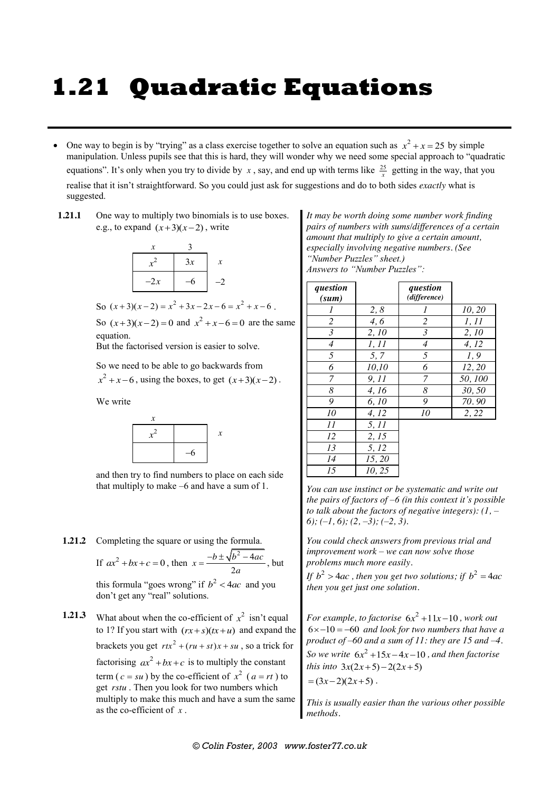## **1.21 Quadratic Equations**

- One way to begin is by "trying" as a class exercise together to solve an equation such as  $x^2 + x = 25$  by simple manipulation. Unless pupils see that this is hard, they will wonder why we need some special approach to "quadratic equations". It's only when you try to divide by  $x$ , say, and end up with terms like  $\frac{25}{x}$  getting in the way, that you realise that it isn't straightforward. So you could just ask for suggestions and do to both sides *exactly* what is suggested.
- **1.21.1** One way to multiply two binomials is to use boxes. e.g., to expand  $(x+3)(x-2)$ , write



So  $(x+3)(x-2) = x^2 + 3x - 2x - 6 = x^2 + x - 6$ .

So  $(x+3)(x-2) = 0$  and  $x^2 + x - 6 = 0$  are the same equation.

But the factorised version is easier to solve.

So we need to be able to go backwards from

 $x^2 + x - 6$ , using the boxes, to get  $(x+3)(x-2)$ .

We write



and then try to find numbers to place on each side that multiply to make –6 and have a sum of 1.

**1.21.2** Completing the square or using the formula.

If  $ax^2 + bx + c = 0$ , then  $x = \frac{-b \pm \sqrt{b^2 - 4}}{2}$  $x = \frac{-b \pm \sqrt{b^2 - 4ac}}{2a}$ , but this formula "goes wrong" if  $b^2 < 4ac$  and you

don't get any "real" solutions.

**1.21.3** What about when the co-efficient of  $x^2$  isn't equal to 1? If you start with  $(rx + s)(tx + u)$  and expand the brackets you get  $rtx^2 + (ru + st)x + su$ , so a trick for factorising  $ax^2 + bx + c$  is to multiply the constant term ( $c = su$ ) by the co-efficient of  $x^2$  ( $a = rt$ ) to get *rstu* . Then you look for two numbers which multiply to make this much and have a sum the same as the co-efficient of *x* .

*It may be worth doing some number work finding pairs of numbers with sums/differences of a certain amount that multiply to give a certain amount, especially involving negative numbers. (See "Number Puzzles" sheet.) Answers to "Number Puzzles":*

| question<br>(sum) |        | question<br>(difference) |        |
|-------------------|--------|--------------------------|--------|
| 1                 | 2,8    | 1                        | 10, 20 |
| $\overline{c}$    | 4,6    | $\overline{2}$           | 1, 11  |
| $\mathfrak{Z}$    | 2, 10  | $\mathfrak{Z}$           | 2, 10  |
| $\overline{4}$    | 1, 11  | $\overline{4}$           | 4, 12  |
| 5                 | 5,7    | 5                        | 1,9    |
| 6                 | 10,10  | 6                        | 12, 20 |
| 7                 | 9,11   | 7                        | 50,100 |
| 8                 | 4, 16  | 8                        | 30,50  |
| 9                 | 6, 10  | 9                        | 70.90  |
| 10                | 4, 12  | 10                       | 2, 22  |
| 11                | 5, 11  |                          |        |
| 12                | 2, 15  |                          |        |
| 13                | 5, 12  |                          |        |
| 14                | 15, 20 |                          |        |
| 15                | 10, 25 |                          |        |

*You can use instinct or be systematic and write out the pairs of factors of –6 (in this context it's possible to talk about the factors of negative integers): (1, – 6); (–1, 6); (2, –3); (–2, 3).*

*You could check answers from previous trial and improvement work – we can now solve those problems much more easily.*

*If*  $b^2 > 4ac$ , then you get two solutions; if  $b^2 = 4ac$ *then you get just one solution.*

*For example, to factorise*  $6x^2 + 11x - 10$ *, work out*  $6 \times -10 = -60$  and look for two numbers that have a *product of –60 and a sum of 11: they are 15 and –4. So we write*  $6x^2 + 15x - 4x - 10$ , and then factorise *this into*  $3x(2x+5) - 2(2x+5)$  $=(3x-2)(2x+5)$ .

*This is usually easier than the various other possible methods.*